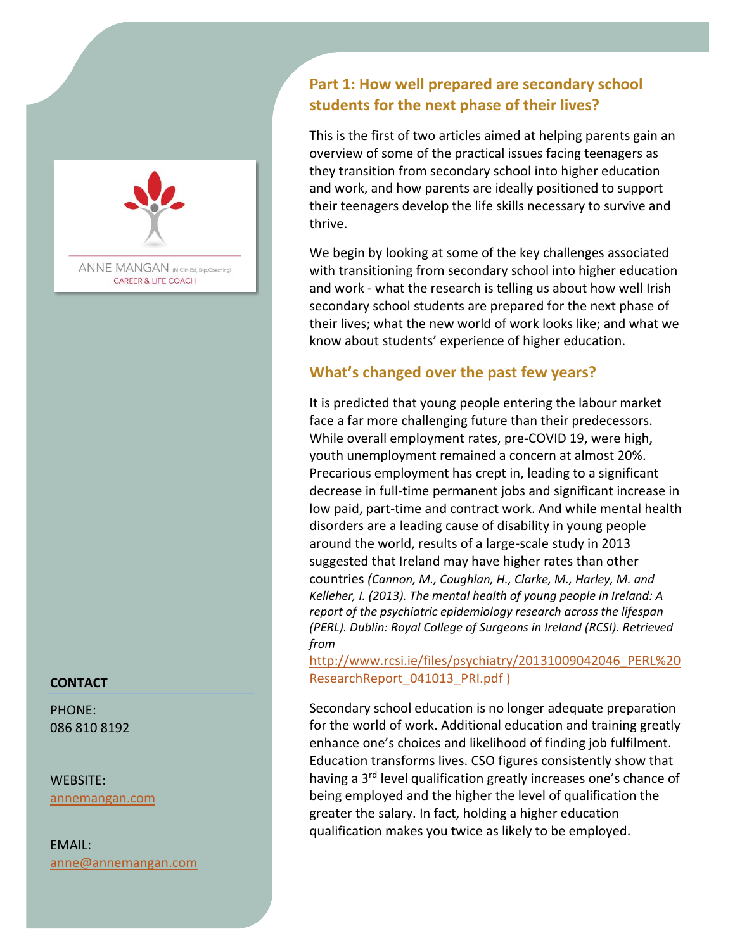

ANNE MANGAN (M.Clin.Ed, Dip.Coaching) **CAREER & LIFE COACH** 

#### **CONTACT**

PHONE: 086 810 8192

WEBSITE: [annemangan.com](https://www.annemangan.com/)

EMAIL: anne@annemangan.com

# **Part 1: How well prepared are secondary school students for the next phase of their lives?**

This is the first of two articles aimed at helping parents gain an overview of some of the practical issues facing teenagers as they transition from secondary school into higher education and work, and how parents are ideally positioned to support their teenagers develop the life skills necessary to survive and thrive.

We begin by looking at some of the key challenges associated with transitioning from secondary school into higher education and work - what the research is telling us about how well Irish secondary school students are prepared for the next phase of their lives; what the new world of work looks like; and what we know about students' experience of higher education.

## **What's changed over the past few years?**

It is predicted that young people entering the labour market face a far more challenging future than their predecessors. While overall employment rates, pre-COVID 19, were high, youth unemployment remained a concern at almost 20%. Precarious employment has crept in, leading to a significant decrease in full-time permanent jobs and significant increase in low paid, part-time and contract work. And while mental health disorders are a leading cause of disability in young people around the world, results of a large-scale study in 2013 suggested that Ireland may have higher rates than other countries *(Cannon, M., Coughlan, H., Clarke, M., Harley, M. and Kelleher, I. (2013). The mental health of young people in Ireland: A report of the psychiatric epidemiology research across the lifespan (PERL). Dublin: Royal College of Surgeons in Ireland (RCSI). Retrieved from*

[http://www.rcsi.ie/files/psychiatry/20131009042046\\_PERL%20](http://www.rcsi.ie/files/psychiatry/20131009042046_PERL%20ResearchReport_041013_PRI.pdf) [ResearchReport\\_041013\\_PRI.pdf](http://www.rcsi.ie/files/psychiatry/20131009042046_PERL%20ResearchReport_041013_PRI.pdf) )

Secondary school education is no longer adequate preparation for the world of work. Additional education and training greatly enhance one's choices and likelihood of finding job fulfilment. Education transforms lives. CSO figures consistently show that having a 3<sup>rd</sup> level qualification greatly increases one's chance of being employed and the higher the level of qualification the greater the salary. In fact, holding a higher education qualification makes you twice as likely to be employed.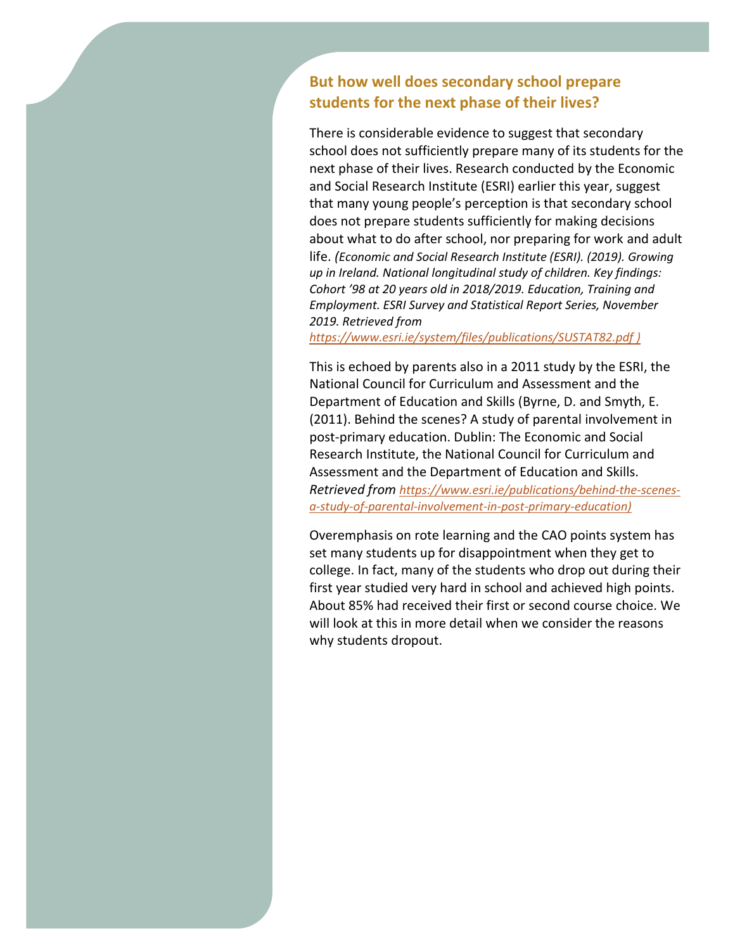### **But how well does secondary school prepare students for the next phase of their lives?**

There is considerable evidence to suggest that secondary school does not sufficiently prepare many of its students for the next phase of their lives. Research conducted by the Economic and Social Research Institute (ESRI) earlier this year, suggest that many young people's perception is that secondary school does not prepare students sufficiently for making decisions about what to do after school, nor preparing for work and adult life. *(Economic and Social Research Institute (ESRI). (2019). Growing up in Ireland. National longitudinal study of children. Key findings: Cohort '98 at 20 years old in 2018/2019. Education, Training and Employment. ESRI Survey and Statistical Report Series, November 2019. Retrieved from* 

*<https://www.esri.ie/system/files/publications/SUSTAT82.pdf> )*

This is echoed by parents also in a 2011 study by the ESRI, the National Council for Curriculum and Assessment and the Department of Education and Skills (Byrne, D. and Smyth, E. (2011). Behind the scenes? A study of parental involvement in post-primary education. Dublin: The Economic and Social Research Institute, the National Council for Curriculum and Assessment and the Department of Education and Skills. *Retrieved from [https://www.esri.ie/publications/behind-the-scenes](https://www.esri.ie/publications/behind-the-scenes-a-study-of-parental-involvement-in-post-primary-education)[a-study-of-parental-involvement-in-post-primary-education\)](https://www.esri.ie/publications/behind-the-scenes-a-study-of-parental-involvement-in-post-primary-education)*

Overemphasis on rote learning and the CAO points system has set many students up for disappointment when they get to college. In fact, many of the students who drop out during their first year studied very hard in school and achieved high points. About 85% had received their first or second course choice. We will look at this in more detail when we consider the reasons why students dropout.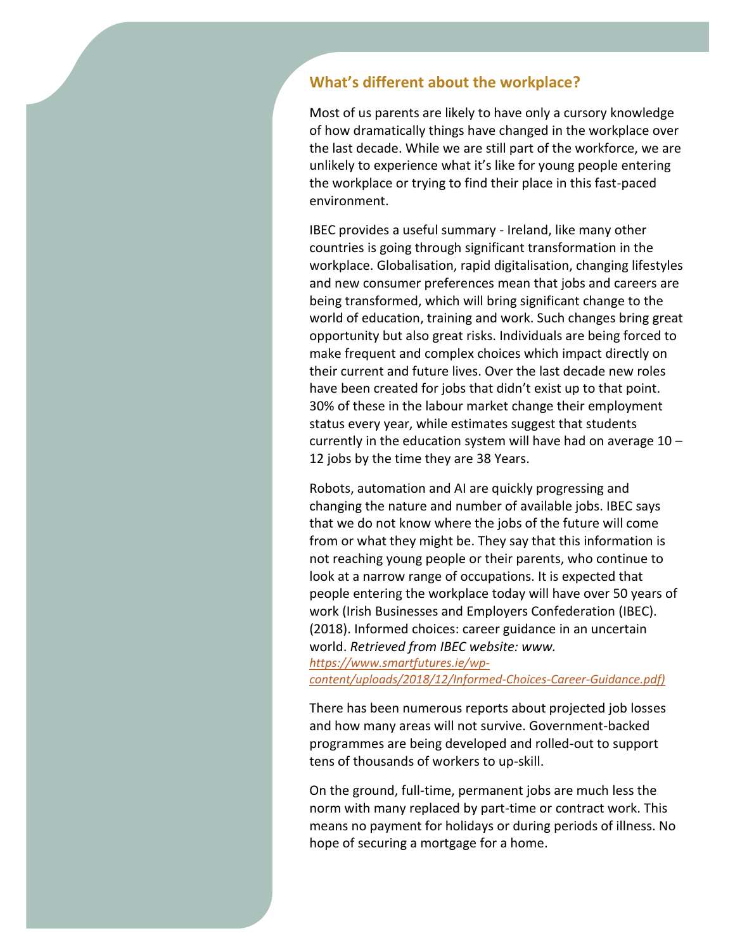#### **What's different about the workplace?**

Most of us parents are likely to have only a cursory knowledge of how dramatically things have changed in the workplace over the last decade. While we are still part of the workforce, we are unlikely to experience what it's like for young people entering the workplace or trying to find their place in this fast-paced environment.

IBEC provides a useful summary - Ireland, like many other countries is going through significant transformation in the workplace. Globalisation, rapid digitalisation, changing lifestyles and new consumer preferences mean that jobs and careers are being transformed, which will bring significant change to the world of education, training and work. Such changes bring great opportunity but also great risks. Individuals are being forced to make frequent and complex choices which impact directly on their current and future lives. Over the last decade new roles have been created for jobs that didn't exist up to that point. 30% of these in the labour market change their employment status every year, while estimates suggest that students currently in the education system will have had on average 10 – 12 jobs by the time they are 38 Years.

Robots, automation and AI are quickly progressing and changing the nature and number of available jobs. IBEC says that we do not know where the jobs of the future will come from or what they might be. They say that this information is not reaching young people or their parents, who continue to look at a narrow range of occupations. It is expected that people entering the workplace today will have over 50 years of work (Irish Businesses and Employers Confederation (IBEC). (2018). Informed choices: career guidance in an uncertain world. *Retrieved from IBEC website: www.*

*[https://www.smartfutures.ie/wp](https://www.smartfutures.ie/wp-content/uploads/2018/12/Informed-Choices-Career-Guidance.pdf)[content/uploads/2018/12/Informed-Choices-Career-Guidance.pdf\)](https://www.smartfutures.ie/wp-content/uploads/2018/12/Informed-Choices-Career-Guidance.pdf)*

There has been numerous reports about projected job losses and how many areas will not survive. Government-backed programmes are being developed and rolled-out to support tens of thousands of workers to up-skill.

On the ground, full-time, permanent jobs are much less the norm with many replaced by part-time or contract work. This means no payment for holidays or during periods of illness. No hope of securing a mortgage for a home.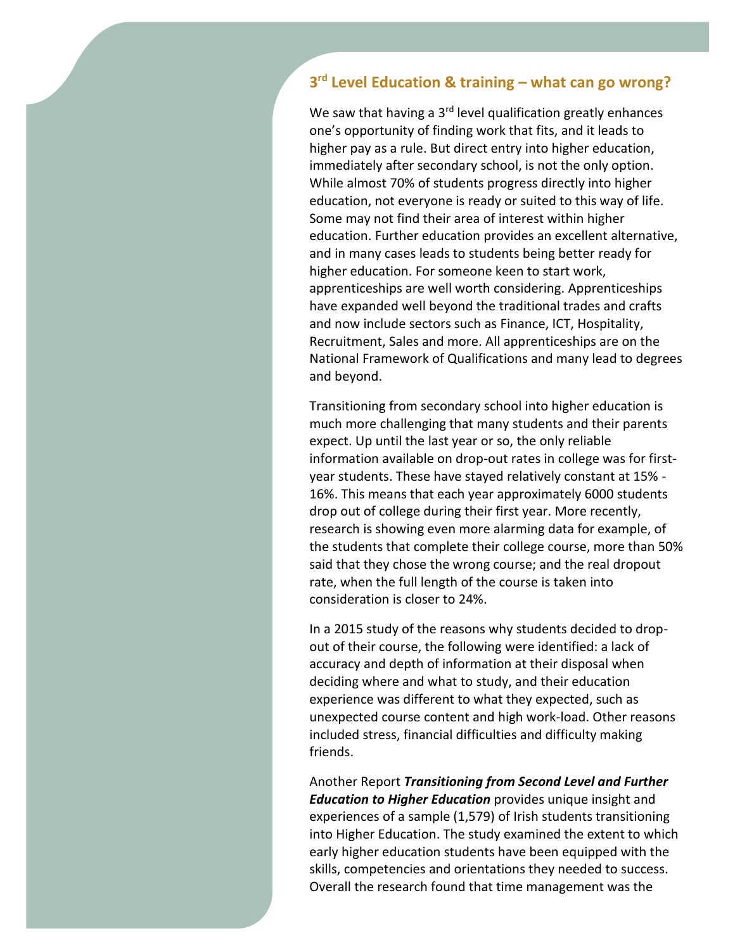## **3 rd Level Education & training – what can go wrong?**

We saw that having a  $3<sup>rd</sup>$  level qualification greatly enhances one's opportunity of finding work that fits, and it leads to higher pay as a rule. But direct entry into higher education, immediately after secondary school, is not the only option. While almost 70% of students progress directly into higher education, not everyone is ready or suited to this way of life. Some may not find their area of interest within higher education. Further education provides an excellent alternative, and in many cases leads to students being better ready for higher education. For someone keen to start work, apprenticeships are well worth considering. Apprenticeships have expanded well beyond the traditional trades and crafts and now include sectors such as Finance, ICT, Hospitality, Recruitment, Sales and more. All apprenticeships are on the National Framework of Qualifications and many lead to degrees and beyond.

Transitioning from secondary school into higher education is much more challenging that many students and their parents expect. Up until the last year or so, the only reliable information available on drop-out rates in college was for firstyear students. These have stayed relatively constant at 15% - 16%. This means that each year approximately 6000 students drop out of college during their first year. More recently, research is showing even more alarming data for example, of the students that complete their college course, more than 50% said that they chose the wrong course; and the real dropout rate, when the full length of the course is taken into consideration is closer to 24%.

In a 2015 study of the reasons why students decided to dropout of their course, the following were identified: a lack of accuracy and depth of information at their disposal when deciding where and what to study, and their education experience was different to what they expected, such as unexpected course content and high work-load. Other reasons included stress, financial difficulties and difficulty making friends.

Another Report *Transitioning from Second Level and Further Education to Higher Education* provides unique insight and experiences of a sample (1,579) of Irish students transitioning into Higher Education. The study examined the extent to which early higher education students have been equipped with the skills, competencies and orientations they needed to success. Overall the research found that time management was the